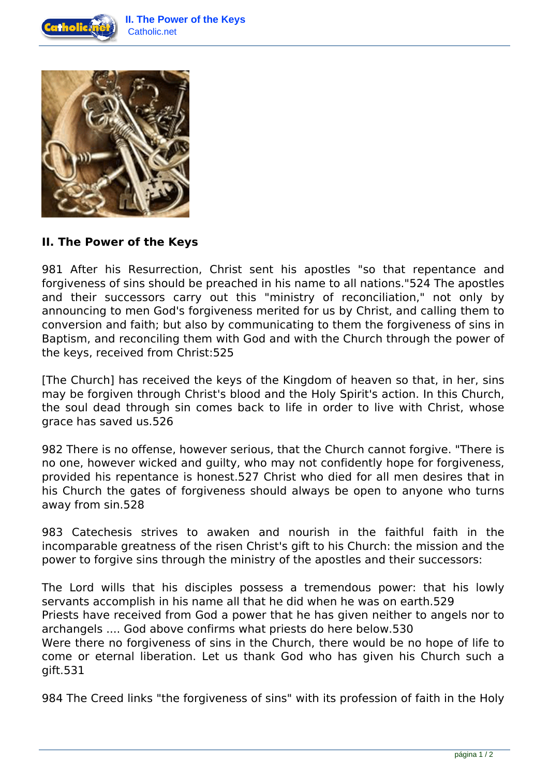



## **II. The Power of the Keys**

981 After his Resurrection, Christ sent his apostles "so that repentance and forgiveness of sins should be preached in his name to all nations."524 The apostles and their successors carry out this "ministry of reconciliation," not only by announcing to men God's forgiveness merited for us by Christ, and calling them to conversion and faith; but also by communicating to them the forgiveness of sins in Baptism, and reconciling them with God and with the Church through the power of the keys, received from Christ:525

[The Church] has received the keys of the Kingdom of heaven so that, in her, sins may be forgiven through Christ's blood and the Holy Spirit's action. In this Church, the soul dead through sin comes back to life in order to live with Christ, whose grace has saved us.526

982 There is no offense, however serious, that the Church cannot forgive. "There is no one, however wicked and guilty, who may not confidently hope for forgiveness, provided his repentance is honest.527 Christ who died for all men desires that in his Church the gates of forgiveness should always be open to anyone who turns away from sin.528

983 Catechesis strives to awaken and nourish in the faithful faith in the incomparable greatness of the risen Christ's gift to his Church: the mission and the power to forgive sins through the ministry of the apostles and their successors:

The Lord wills that his disciples possess a tremendous power: that his lowly servants accomplish in his name all that he did when he was on earth.529 Priests have received from God a power that he has given neither to angels nor to archangels .... God above confirms what priests do here below.530 Were there no forgiveness of sins in the Church, there would be no hope of life to come or eternal liberation. Let us thank God who has given his Church such a gift.531

984 The Creed links "the forgiveness of sins" with its profession of faith in the Holy